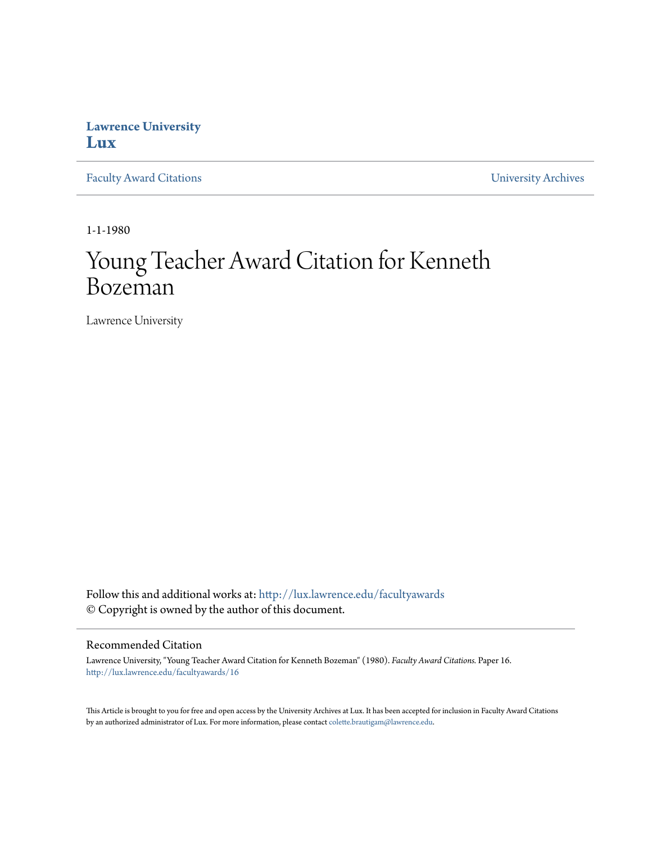## **Lawrence University [Lux](http://lux.lawrence.edu?utm_source=lux.lawrence.edu%2Ffacultyawards%2F16&utm_medium=PDF&utm_campaign=PDFCoverPages)**

[Faculty Award Citations](http://lux.lawrence.edu/facultyawards?utm_source=lux.lawrence.edu%2Ffacultyawards%2F16&utm_medium=PDF&utm_campaign=PDFCoverPages) **Example 2018** [University Archives](http://lux.lawrence.edu/archives?utm_source=lux.lawrence.edu%2Ffacultyawards%2F16&utm_medium=PDF&utm_campaign=PDFCoverPages)

1-1-1980

# Young Teacher Award Citation for Kenneth Bozeman

Lawrence University

Follow this and additional works at: [http://lux.lawrence.edu/facultyawards](http://lux.lawrence.edu/facultyawards?utm_source=lux.lawrence.edu%2Ffacultyawards%2F16&utm_medium=PDF&utm_campaign=PDFCoverPages) © Copyright is owned by the author of this document.

#### Recommended Citation

Lawrence University, "Young Teacher Award Citation for Kenneth Bozeman" (1980). *Faculty Award Citations.* Paper 16. [http://lux.lawrence.edu/facultyawards/16](http://lux.lawrence.edu/facultyawards/16?utm_source=lux.lawrence.edu%2Ffacultyawards%2F16&utm_medium=PDF&utm_campaign=PDFCoverPages)

This Article is brought to you for free and open access by the University Archives at Lux. It has been accepted for inclusion in Faculty Award Citations by an authorized administrator of Lux. For more information, please contact [colette.brautigam@lawrence.edu](mailto:colette.brautigam@lawrence.edu).